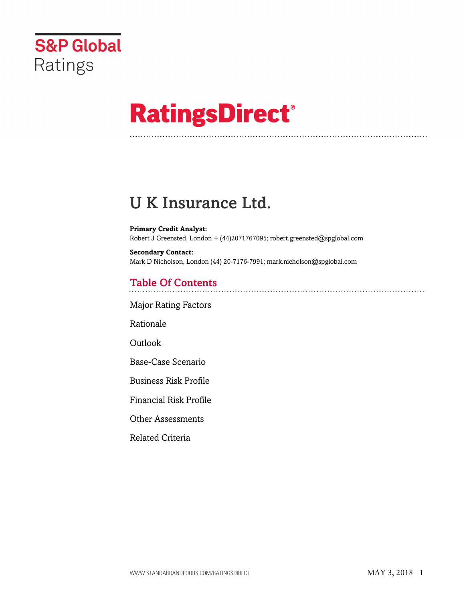

# **RatingsDirect®**

# U K Insurance Ltd.

**Primary Credit Analyst:** Robert J Greensted, London + (44)2071767095; robert.greensted@spglobal.com

**Secondary Contact:** Mark D Nicholson, London (44) 20-7176-7991; mark.nicholson@spglobal.com

# Table Of Contents

[Major Rating Factors](#page-1-0)

[Rationale](#page-1-1)

Outlook

[Base-Case Scenario](#page-2-0)

[Business Risk Profile](#page-3-0)

[Financial Risk Profile](#page-5-0)

[Other Assessments](#page-5-1)

[Related Criteria](#page-5-2)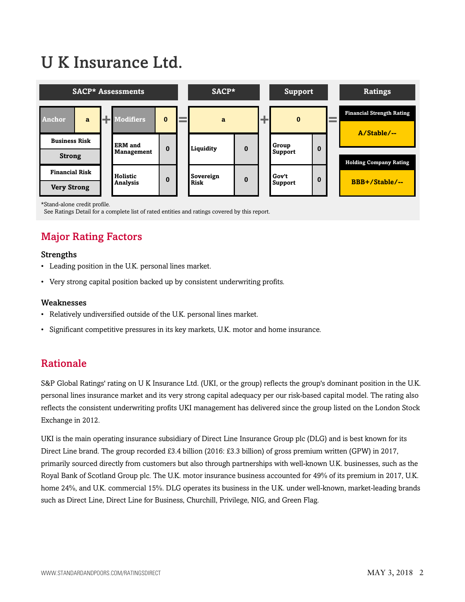# U K Insurance Ltd.



<sup>\*</sup>Stand-alone credit profile.

<span id="page-1-0"></span>See Ratings Detail for a complete list of rated entities and ratings covered by this report.

# Major Rating Factors

#### Strengths

- Leading position in the U.K. personal lines market.
- Very strong capital position backed up by consistent underwriting profits.

#### Weaknesses

- Relatively undiversified outside of the U.K. personal lines market.
- <span id="page-1-1"></span>• Significant competitive pressures in its key markets, U.K. motor and home insurance.

### Rationale

S&P Global Ratings' rating on U K Insurance Ltd. (UKI, or the group) reflects the group's dominant position in the U.K. personal lines insurance market and its very strong capital adequacy per our risk-based capital model. The rating also reflects the consistent underwriting profits UKI management has delivered since the group listed on the London Stock Exchange in 2012.

UKI is the main operating insurance subsidiary of Direct Line Insurance Group plc (DLG) and is best known for its Direct Line brand. The group recorded £3.4 billion (2016: £3.3 billion) of gross premium written (GPW) in 2017, primarily sourced directly from customers but also through partnerships with well-known U.K. businesses, such as the Royal Bank of Scotland Group plc. The U.K. motor insurance business accounted for 49% of its premium in 2017, U.K. home 24%, and U.K. commercial 15%. DLG operates its business in the U.K. under well-known, market-leading brands such as Direct Line, Direct Line for Business, Churchill, Privilege, NIG, and Green Flag.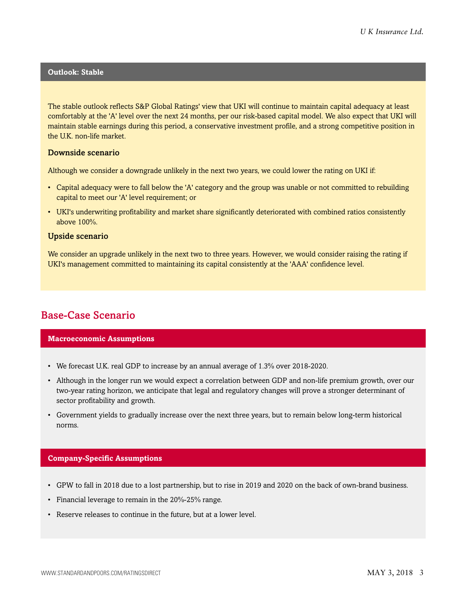#### **Outlook: Stable**

The stable outlook reflects S&P Global Ratings' view that UKI will continue to maintain capital adequacy at least comfortably at the 'A' level over the next 24 months, per our risk-based capital model. We also expect that UKI will maintain stable earnings during this period, a conservative investment profile, and a strong competitive position in the U.K. non-life market.

#### Downside scenario

Although we consider a downgrade unlikely in the next two years, we could lower the rating on UKI if:

- Capital adequacy were to fall below the 'A' category and the group was unable or not committed to rebuilding capital to meet our 'A' level requirement; or
- UKI's underwriting profitability and market share significantly deteriorated with combined ratios consistently above 100%.

#### Upside scenario

We consider an upgrade unlikely in the next two to three years. However, we would consider raising the rating if UKI's management committed to maintaining its capital consistently at the 'AAA' confidence level.

## <span id="page-2-0"></span>Base-Case Scenario

#### **Macroeconomic Assumptions**

- We forecast U.K. real GDP to increase by an annual average of 1.3% over 2018-2020.
- Although in the longer run we would expect a correlation between GDP and non-life premium growth, over our two-year rating horizon, we anticipate that legal and regulatory changes will prove a stronger determinant of sector profitability and growth.
- Government yields to gradually increase over the next three years, but to remain below long-term historical norms.

#### **Company-Specific Assumptions**

- GPW to fall in 2018 due to a lost partnership, but to rise in 2019 and 2020 on the back of own-brand business.
- Financial leverage to remain in the 20%-25% range.
- Reserve releases to continue in the future, but at a lower level.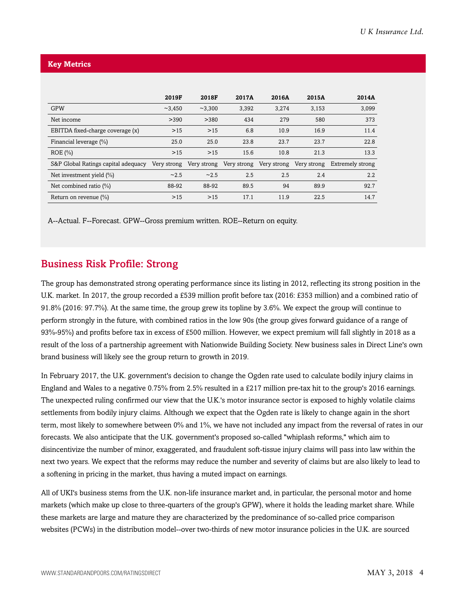#### **Key Metrics**

|                                     | 2019F       | 2018F   | 2017A | 2016A | 2015A                                           | 2014A            |
|-------------------------------------|-------------|---------|-------|-------|-------------------------------------------------|------------------|
| <b>GPW</b>                          | ~2,450      | ~23.300 | 3,392 | 3,274 | 3,153                                           | 3,099            |
| Net income                          | >390        | >380    | 434   | 279   | 580                                             | 373              |
| EBITDA fixed-charge coverage (x)    | $>15$       | $>15$   | 6.8   | 10.9  | 16.9                                            | 11.4             |
| Financial leverage (%)              | 25.0        | 25.0    | 23.8  | 23.7  | 23.7                                            | 22.8             |
| $ROE (\% )$                         | $>15$       | $>15$   | 15.6  | 10.8  | 21.3                                            | 13.3             |
| S&P Global Ratings capital adequacy | Very strong |         |       |       | Very strong Very strong Very strong Very strong | Extremely strong |
| Net investment yield (%)            | ~2.5        | ~2.5    | 2.5   | 2.5   | 2.4                                             | 2.2              |
| Net combined ratio $(\%)$           | 88-92       | 88-92   | 89.5  | 94    | 89.9                                            | 92.7             |
| Return on revenue $(\%)$            | $>15$       | $>15$   | 17.1  | 11.9  | 22.5                                            | 14.7             |

A--Actual. F--Forecast. GPW--Gross premium written. ROE--Return on equity.

## <span id="page-3-0"></span>Business Risk Profile: Strong

The group has demonstrated strong operating performance since its listing in 2012, reflecting its strong position in the U.K. market. In 2017, the group recorded a £539 million profit before tax (2016: £353 million) and a combined ratio of 91.8% (2016: 97.7%). At the same time, the group grew its topline by 3.6%. We expect the group will continue to perform strongly in the future, with combined ratios in the low 90s (the group gives forward guidance of a range of 93%-95%) and profits before tax in excess of £500 million. However, we expect premium will fall slightly in 2018 as a result of the loss of a partnership agreement with Nationwide Building Society. New business sales in Direct Line's own brand business will likely see the group return to growth in 2019.

In February 2017, the U.K. government's decision to change the Ogden rate used to calculate bodily injury claims in England and Wales to a negative 0.75% from 2.5% resulted in a £217 million pre-tax hit to the group's 2016 earnings. The unexpected ruling confirmed our view that the U.K.'s motor insurance sector is exposed to highly volatile claims settlements from bodily injury claims. Although we expect that the Ogden rate is likely to change again in the short term, most likely to somewhere between 0% and 1%, we have not included any impact from the reversal of rates in our forecasts. We also anticipate that the U.K. government's proposed so-called "whiplash reforms," which aim to disincentivize the number of minor, exaggerated, and fraudulent soft-tissue injury claims will pass into law within the next two years. We expect that the reforms may reduce the number and severity of claims but are also likely to lead to a softening in pricing in the market, thus having a muted impact on earnings.

All of UKI's business stems from the U.K. non-life insurance market and, in particular, the personal motor and home markets (which make up close to three-quarters of the group's GPW), where it holds the leading market share. While these markets are large and mature they are characterized by the predominance of so-called price comparison websites (PCWs) in the distribution model--over two-thirds of new motor insurance policies in the U.K. are sourced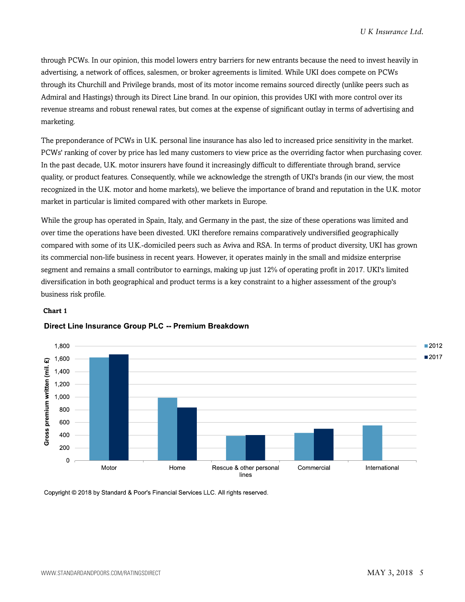through PCWs. In our opinion, this model lowers entry barriers for new entrants because the need to invest heavily in advertising, a network of offices, salesmen, or broker agreements is limited. While UKI does compete on PCWs through its Churchill and Privilege brands, most of its motor income remains sourced directly (unlike peers such as Admiral and Hastings) through its Direct Line brand. In our opinion, this provides UKI with more control over its revenue streams and robust renewal rates, but comes at the expense of significant outlay in terms of advertising and marketing.

The preponderance of PCWs in U.K. personal line insurance has also led to increased price sensitivity in the market. PCWs' ranking of cover by price has led many customers to view price as the overriding factor when purchasing cover. In the past decade, U.K. motor insurers have found it increasingly difficult to differentiate through brand, service quality, or product features. Consequently, while we acknowledge the strength of UKI's brands (in our view, the most recognized in the U.K. motor and home markets), we believe the importance of brand and reputation in the U.K. motor market in particular is limited compared with other markets in Europe.

While the group has operated in Spain, Italy, and Germany in the past, the size of these operations was limited and over time the operations have been divested. UKI therefore remains comparatively undiversified geographically compared with some of its U.K.-domiciled peers such as Aviva and RSA. In terms of product diversity, UKI has grown its commercial non-life business in recent years. However, it operates mainly in the small and midsize enterprise segment and remains a small contributor to earnings, making up just 12% of operating profit in 2017. UKI's limited diversification in both geographical and product terms is a key constraint to a higher assessment of the group's business risk profile.

#### **Chart 1**



#### Direct Line Insurance Group PLC -- Premium Breakdown

Copyright © 2018 by Standard & Poor's Financial Services LLC. All rights reserved.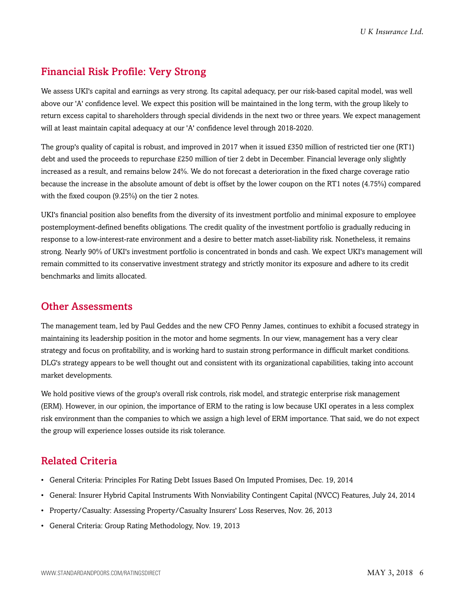# <span id="page-5-0"></span>Financial Risk Profile: Very Strong

We assess UKI's capital and earnings as very strong. Its capital adequacy, per our risk-based capital model, was well above our 'A' confidence level. We expect this position will be maintained in the long term, with the group likely to return excess capital to shareholders through special dividends in the next two or three years. We expect management will at least maintain capital adequacy at our 'A' confidence level through 2018-2020.

The group's quality of capital is robust, and improved in 2017 when it issued £350 million of restricted tier one (RT1) debt and used the proceeds to repurchase £250 million of tier 2 debt in December. Financial leverage only slightly increased as a result, and remains below 24%. We do not forecast a deterioration in the fixed charge coverage ratio because the increase in the absolute amount of debt is offset by the lower coupon on the RT1 notes (4.75%) compared with the fixed coupon (9.25%) on the tier 2 notes.

UKI's financial position also benefits from the diversity of its investment portfolio and minimal exposure to employee postemployment-defined benefits obligations. The credit quality of the investment portfolio is gradually reducing in response to a low-interest-rate environment and a desire to better match asset-liability risk. Nonetheless, it remains strong. Nearly 90% of UKI's investment portfolio is concentrated in bonds and cash. We expect UKI's management will remain committed to its conservative investment strategy and strictly monitor its exposure and adhere to its credit benchmarks and limits allocated.

### <span id="page-5-1"></span>Other Assessments

The management team, led by Paul Geddes and the new CFO Penny James, continues to exhibit a focused strategy in maintaining its leadership position in the motor and home segments. In our view, management has a very clear strategy and focus on profitability, and is working hard to sustain strong performance in difficult market conditions. DLG's strategy appears to be well thought out and consistent with its organizational capabilities, taking into account market developments.

We hold positive views of the group's overall risk controls, risk model, and strategic enterprise risk management (ERM). However, in our opinion, the importance of ERM to the rating is low because UKI operates in a less complex risk environment than the companies to which we assign a high level of ERM importance. That said, we do not expect the group will experience losses outside its risk tolerance.

# <span id="page-5-2"></span>Related Criteria

- General Criteria: Principles For Rating Debt Issues Based On Imputed Promises, Dec. 19, 2014
- General: Insurer Hybrid Capital Instruments With Nonviability Contingent Capital (NVCC) Features, July 24, 2014
- Property/Casualty: Assessing Property/Casualty Insurers' Loss Reserves, Nov. 26, 2013
- General Criteria: Group Rating Methodology, Nov. 19, 2013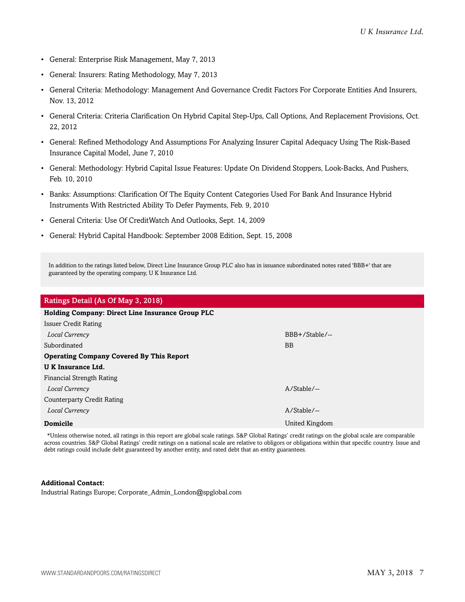- General: Enterprise Risk Management, May 7, 2013
- General: Insurers: Rating Methodology, May 7, 2013
- General Criteria: Methodology: Management And Governance Credit Factors For Corporate Entities And Insurers, Nov. 13, 2012
- General Criteria: Criteria Clarification On Hybrid Capital Step-Ups, Call Options, And Replacement Provisions, Oct. 22, 2012
- General: Refined Methodology And Assumptions For Analyzing Insurer Capital Adequacy Using The Risk-Based Insurance Capital Model, June 7, 2010
- General: Methodology: Hybrid Capital Issue Features: Update On Dividend Stoppers, Look-Backs, And Pushers, Feb. 10, 2010
- Banks: Assumptions: Clarification Of The Equity Content Categories Used For Bank And Insurance Hybrid Instruments With Restricted Ability To Defer Payments, Feb. 9, 2010
- General Criteria: Use Of CreditWatch And Outlooks, Sept. 14, 2009
- General: Hybrid Capital Handbook: September 2008 Edition, Sept. 15, 2008

In addition to the ratings listed below, Direct Line Insurance Group PLC also has in issuance subordinated notes rated 'BBB+' that are guaranteed by the operating company, U K Insurance Ltd.

| Ratings Detail (As Of May 3, 2018)               |                |  |  |  |  |
|--------------------------------------------------|----------------|--|--|--|--|
| Holding Company: Direct Line Insurance Group PLC |                |  |  |  |  |
| <b>Issuer Credit Rating</b>                      |                |  |  |  |  |
| Local Currency                                   | BBB+/Stable/-- |  |  |  |  |
| Subordinated                                     | <b>BB</b>      |  |  |  |  |
| <b>Operating Company Covered By This Report</b>  |                |  |  |  |  |
| <b>UK</b> Insurance Ltd.                         |                |  |  |  |  |
| Financial Strength Rating                        |                |  |  |  |  |
| Local Currency                                   | $A/Stable/$ -- |  |  |  |  |
| Counterparty Credit Rating                       |                |  |  |  |  |
| Local Currency                                   | $A/Stable/$ -- |  |  |  |  |
| Domicile                                         | United Kingdom |  |  |  |  |

\*Unless otherwise noted, all ratings in this report are global scale ratings. S&P Global Ratings' credit ratings on the global scale are comparable across countries. S&P Global Ratings' credit ratings on a national scale are relative to obligors or obligations within that specific country. Issue and debt ratings could include debt guaranteed by another entity, and rated debt that an entity guarantees.

#### **Additional Contact:**

Industrial Ratings Europe; Corporate\_Admin\_London@spglobal.com